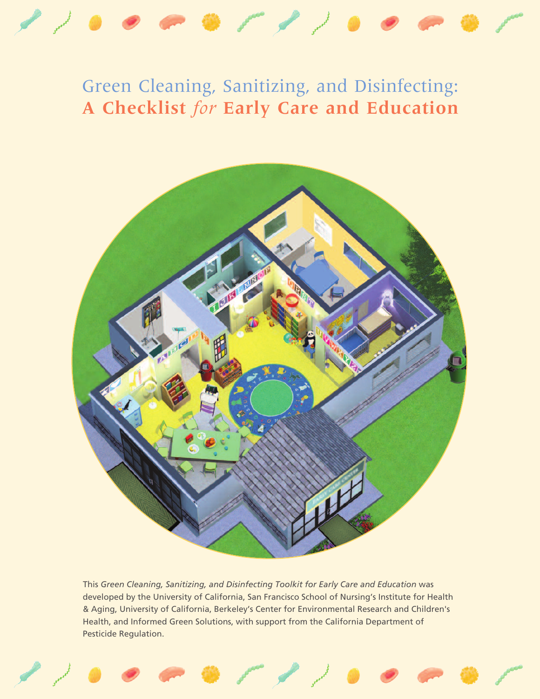

# Green Cleaning, Sanitizing, and Disinfecting: **A Checklist** *for* **Early Care and Education**



This *Green Cleaning, Sanitizing, and Disinfecting Toolkit for Early Care and Education* was developed by the University of California, San Francisco School of Nursing's Institute for Health & Aging, University of California, Berkeley's Center for Environmental Research and Children's Health, and Informed Green Solutions, with support from the California Department of Pesticide Regulation.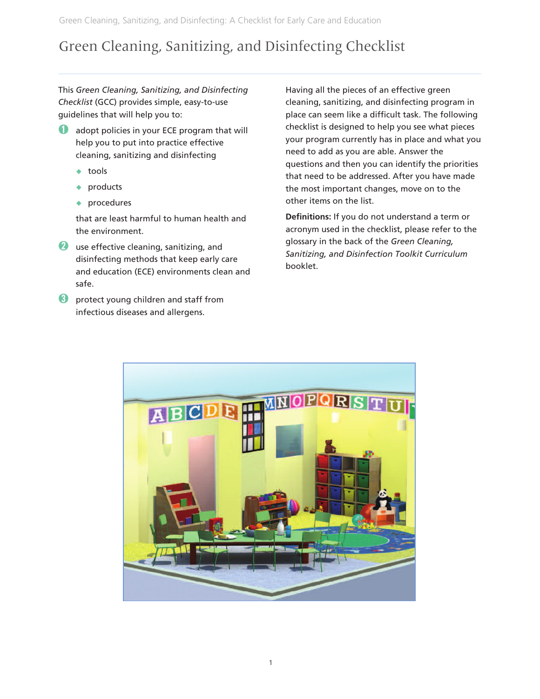# Green Cleaning, Sanitizing, and Disinfecting Checklist

This *Green Cleaning, Sanitizing, and Disinfecting Checklist* (GCC) provides simple, easy-to-use guidelines that will help you to:

- **Q** adopt policies in your ECE program that will help you to put into practice effective cleaning, sanitizing and disinfecting
	- $\triangleleft$  tools
	- $\bullet$  products
	- $\bullet$  procedures

that are least harmful to human health and the environment.

- *Q* use effective cleaning, sanitizing, and disinfecting methods that keep early care and education (ECE) environments clean and safe.
- **➌** protect young children and staff from infectious diseases and allergens.

Having all the pieces of an effective green cleaning, sanitizing, and disinfecting program in place can seem like a difficult task. The following checklist is designed to help you see what pieces your program currently has in place and what you need to add as you are able. Answer the questions and then you can identify the priorities that need to be addressed. After you have made the most important changes, move on to the other items on the list.

**Definitions:** If you do not understand a term or acronym used in the checklist, please refer to the glossary in the back of the *Green Cleaning, Sanitizing, and Disinfection Toolkit Curriculum* booklet.

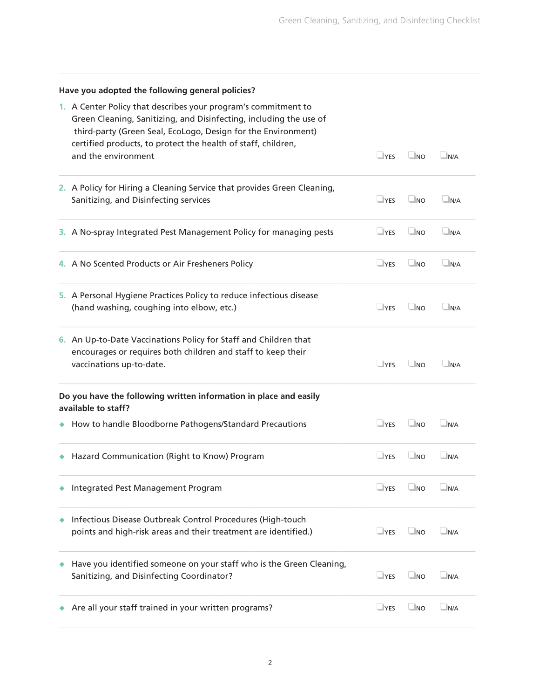| Have you adopted the following general policies?                                                                                                                                                      |            |           |             |  |  |  |
|-------------------------------------------------------------------------------------------------------------------------------------------------------------------------------------------------------|------------|-----------|-------------|--|--|--|
| 1. A Center Policy that describes your program's commitment to<br>Green Cleaning, Sanitizing, and Disinfecting, including the use of<br>third-party (Green Seal, EcoLogo, Design for the Environment) |            |           |             |  |  |  |
| certified products, to protect the health of staff, children,<br>and the environment                                                                                                                  | $\Box$ YES | $\Box$ NO | $\Box$ N/A  |  |  |  |
| 2. A Policy for Hiring a Cleaning Service that provides Green Cleaning,<br>Sanitizing, and Disinfecting services                                                                                      | $\Box$ YES | $\Box$ NO | $\Box$ N/A  |  |  |  |
| 3. A No-spray Integrated Pest Management Policy for managing pests                                                                                                                                    | $\Box$ YES | $\Box$ NO | $\Box$ N/A  |  |  |  |
| 4. A No Scented Products or Air Fresheners Policy                                                                                                                                                     | $\Box$ YES | $\Box$ NO | $\n  N/A\n$ |  |  |  |
| 5. A Personal Hygiene Practices Policy to reduce infectious disease<br>(hand washing, coughing into elbow, etc.)                                                                                      | $\Box$ YES | $\Box$ NO | $\Box$ N/A  |  |  |  |
| 6. An Up-to-Date Vaccinations Policy for Staff and Children that<br>encourages or requires both children and staff to keep their<br>vaccinations up-to-date.                                          | $\Box$ YES | $\Box$ NO | $\Box$ N/A  |  |  |  |
| Do you have the following written information in place and easily<br>available to staff?                                                                                                              |            |           |             |  |  |  |
| How to handle Bloodborne Pathogens/Standard Precautions                                                                                                                                               | $\Box$ YES | $\Box$ NO | N/A         |  |  |  |
| Hazard Communication (Right to Know) Program                                                                                                                                                          | $\Box$ YES | $\Box$ NO | $\Box$ N/A  |  |  |  |
| Integrated Pest Management Program                                                                                                                                                                    | $\Box$ YES | $\Box$ NO | $\Box$ N/A  |  |  |  |
| Infectious Disease Outbreak Control Procedures (High-touch<br>points and high-risk areas and their treatment are identified.)                                                                         | $\Box$ YES | $\Box$ NO | N/A         |  |  |  |
| Have you identified someone on your staff who is the Green Cleaning,<br>Sanitizing, and Disinfecting Coordinator?                                                                                     | $\Box$ YES | $\Box$ NO | N/A         |  |  |  |
| Are all your staff trained in your written programs?                                                                                                                                                  | $\Box$ YES | $\Box$ NO | N/A         |  |  |  |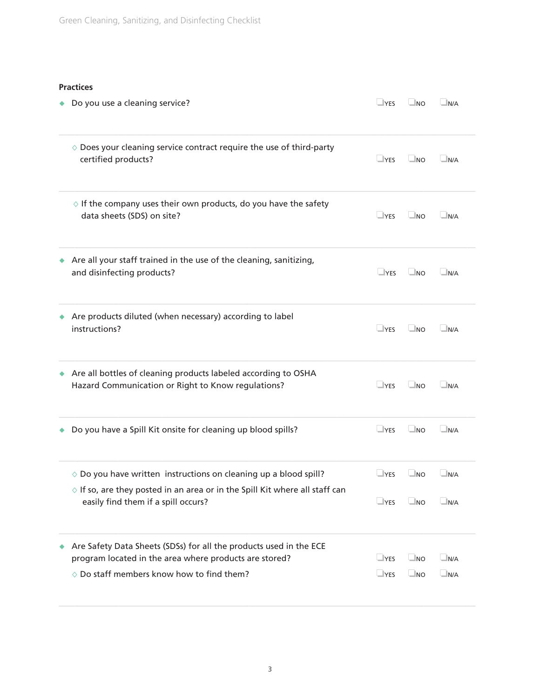#### **Practices**

| Do you use a cleaning service?                                                                                              | $\Box$ YES | $\Box$ NO | $\n  N/A\n$ |
|-----------------------------------------------------------------------------------------------------------------------------|------------|-----------|-------------|
| $\diamond$ Does your cleaning service contract require the use of third-party<br>certified products?                        | $\Box$ YES | $\Box$ NO | $\n  N/A\n$ |
| $\diamond$ If the company uses their own products, do you have the safety<br>data sheets (SDS) on site?                     | $\Box$ YES | $\Box$ NO | $\Box$ N/A  |
| Are all your staff trained in the use of the cleaning, sanitizing,<br>and disinfecting products?                            | $\Box$ YES | $\Box$ NO | $\Box$ N/A  |
| Are products diluted (when necessary) according to label<br>instructions?                                                   | $\Box$ YES | $\Box$ NO | $\n  N/A\n$ |
| Are all bottles of cleaning products labeled according to OSHA<br>Hazard Communication or Right to Know regulations?        | $\Box$ YES | $\Box$ NO | $\Box$ N/A  |
| Do you have a Spill Kit onsite for cleaning up blood spills?                                                                | $\Box$ YES | $\Box$ NO | $\Box$ N/A  |
| $\diamond$ Do you have written instructions on cleaning up a blood spill?                                                   | $\Box$ YES | $\Box$ NO | $\n  N/A\n$ |
| $\diamond$ If so, are they posted in an area or in the Spill Kit where all staff can<br>easily find them if a spill occurs? | $\Box$ YES | $\Box$ NO | $\n  N/A\n$ |
| Are Safety Data Sheets (SDSs) for all the products used in the ECE                                                          |            |           |             |
| program located in the area where products are stored?                                                                      | $\Box$ YES | $\Box$ NO | $\n  N/A\n$ |
| $\diamond$ Do staff members know how to find them?                                                                          | $\Box$ YES | $\Box$ NO | $\n  N/A\n$ |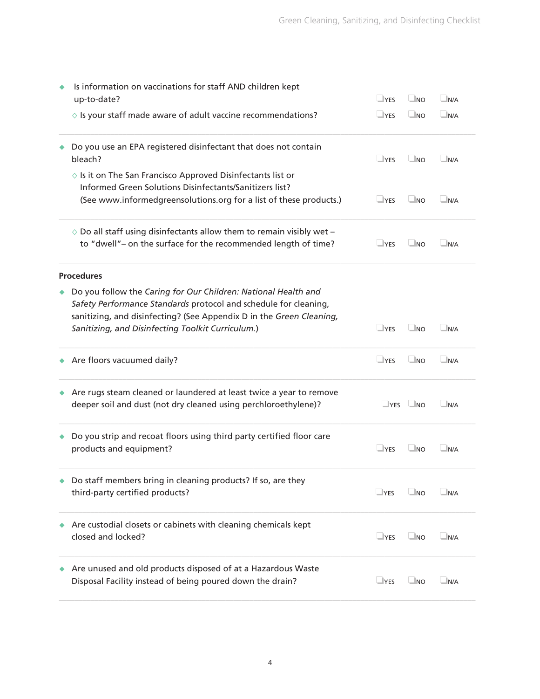| Is information on vaccinations for staff AND children kept<br>up-to-date?                                                                                                                                  | $\Box$ YES | $\Box$ NO            | $\Box$ N/A         |
|------------------------------------------------------------------------------------------------------------------------------------------------------------------------------------------------------------|------------|----------------------|--------------------|
| $\diamond$ Is your staff made aware of adult vaccine recommendations?                                                                                                                                      | $\Box$ YES | $\Box$ NO            | $\n  N/A\n$        |
| Do you use an EPA registered disinfectant that does not contain<br>bleach?                                                                                                                                 | $\Box$ YES | $\Box$ NO            | $\Box$ N/A         |
| $\diamond$ Is it on The San Francisco Approved Disinfectants list or<br>Informed Green Solutions Disinfectants/Sanitizers list?<br>(See www.informedgreensolutions.org for a list of these products.)      | $\Box$ YES | $\Box$ NO            | $\n  N/A\n$        |
| $\diamond$ Do all staff using disinfectants allow them to remain visibly wet -<br>to "dwell"- on the surface for the recommended length of time?                                                           | $\Box$ YES | $\Box$ NO            | $\Box$ N/A         |
| <b>Procedures</b>                                                                                                                                                                                          |            |                      |                    |
| Do you follow the Caring for Our Children: National Health and<br>Safety Performance Standards protocol and schedule for cleaning,<br>sanitizing, and disinfecting? (See Appendix D in the Green Cleaning, |            |                      |                    |
| Sanitizing, and Disinfecting Toolkit Curriculum.)                                                                                                                                                          | $\Box$ YES | $\Box$ NO            | $\Box$ N/A         |
| Are floors vacuumed daily?                                                                                                                                                                                 | $\Box$ YES | $\Box$ NO            | N/A                |
| Are rugs steam cleaned or laundered at least twice a year to remove<br>deeper soil and dust (not dry cleaned using perchloroethylene)?                                                                     |            | $\Box$ YES $\Box$ NO | $\n  N/A\n$        |
| Do you strip and recoat floors using third party certified floor care<br>products and equipment?                                                                                                           | $\Box$ YES | $\Box$ NO            | $\n  N/A\n$        |
| Do staff members bring in cleaning products? If so, are they<br>third-party certified products?                                                                                                            | $\Box$ YES | $\Box$ NO            | $\blacksquare$ N/A |
| Are custodial closets or cabinets with cleaning chemicals kept<br>closed and locked?                                                                                                                       | $\Box$ YES | $\Box$ NO            | $\Box$ N/A         |
| Are unused and old products disposed of at a Hazardous Waste<br>Disposal Facility instead of being poured down the drain?                                                                                  | $\Box$ YES | $\Box$ NO            | $\n  N/A\n$        |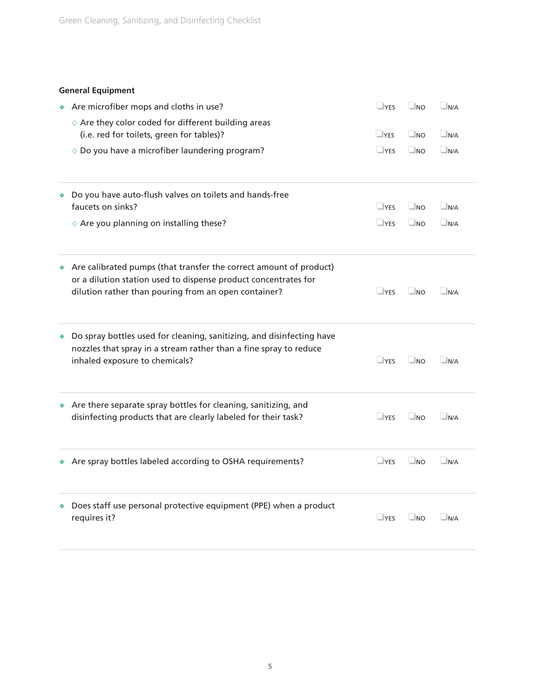## **General Equipment**

| Are microfiber mops and cloths in use?                                                                                                                                                        | $\Box$ YES | $\Box$ NO | $\Box$ N/A  |
|-----------------------------------------------------------------------------------------------------------------------------------------------------------------------------------------------|------------|-----------|-------------|
|                                                                                                                                                                                               |            |           |             |
| $\diamond$ Are they color coded for different building areas<br>(i.e. red for toilets, green for tables)?                                                                                     | $\Box$ YES | $\Box$ NO | $\Box$ N/A  |
|                                                                                                                                                                                               |            |           |             |
| $\diamond$ Do you have a microfiber laundering program?                                                                                                                                       | $\Box$ YES | $\Box$ NO | $\n  N/A\n$ |
| Do you have auto-flush valves on toilets and hands-free                                                                                                                                       |            |           |             |
| faucets on sinks?                                                                                                                                                                             | $\Box$ YES | $\Box$ NO | $\Box$ N/A  |
| $\diamond$ Are you planning on installing these?                                                                                                                                              | $\Box$ YES | $\Box$ NO | $\Box$ N/A  |
| Are calibrated pumps (that transfer the correct amount of product)<br>or a dilution station used to dispense product concentrates for<br>dilution rather than pouring from an open container? | $\Box$ YES | $\Box$ NO | $\Box$ N/A  |
| Do spray bottles used for cleaning, sanitizing, and disinfecting have<br>nozzles that spray in a stream rather than a fine spray to reduce<br>inhaled exposure to chemicals?                  | $\Box$ YES | $\Box$ NO | $\n  N/A\n$ |
| Are there separate spray bottles for cleaning, sanitizing, and<br>disinfecting products that are clearly labeled for their task?                                                              | $\Box$ YES | $\Box$ NO | $\n  N/A\n$ |
| Are spray bottles labeled according to OSHA requirements?                                                                                                                                     | $\Box$ YES | $\Box$ NO | $\Box$ N/A  |
| Does staff use personal protective equipment (PPE) when a product<br>requires it?                                                                                                             | $\Box$ YES | $\Box$ NO | $\n  N/A\n$ |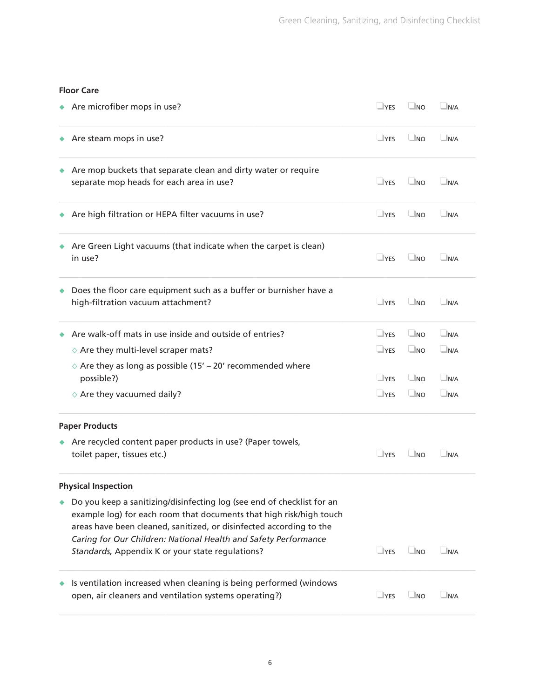#### **Floor Care**

| Are microfiber mops in use?                                                                                                                                                                                                                                                                                                                 |            | $\Box$ NO | $\Box$ N/A   |
|---------------------------------------------------------------------------------------------------------------------------------------------------------------------------------------------------------------------------------------------------------------------------------------------------------------------------------------------|------------|-----------|--------------|
| Are steam mops in use?                                                                                                                                                                                                                                                                                                                      | $\Box$ YES | $\Box$ NO | $\Box$ N/A   |
| Are mop buckets that separate clean and dirty water or require<br>separate mop heads for each area in use?                                                                                                                                                                                                                                  | $\Box$ YES | $\Box$ NO | $\n  N/A\n$  |
| Are high filtration or HEPA filter vacuums in use?                                                                                                                                                                                                                                                                                          | $\Box$ YES | $\Box$ NO | $\n  N/A\n$  |
| Are Green Light vacuums (that indicate when the carpet is clean)<br>in use?                                                                                                                                                                                                                                                                 | $\Box$ YES | $\Box$ NO | $\Box$ N/A   |
| Does the floor care equipment such as a buffer or burnisher have a<br>high-filtration vacuum attachment?                                                                                                                                                                                                                                    | $\Box$ YES | $\Box$ NO | $\Box$ N/A   |
| Are walk-off mats in use inside and outside of entries?                                                                                                                                                                                                                                                                                     | $\Box$ YES | $\Box$ NO | $\n  N/A\n$  |
| $\diamond$ Are they multi-level scraper mats?                                                                                                                                                                                                                                                                                               | $\Box$ YES | $\Box$ NO | $\Box$ N/A   |
| $\Diamond$ Are they as long as possible (15' – 20' recommended where<br>possible?)                                                                                                                                                                                                                                                          | $\Box$ YES | $\Box$ NO | $\Box$ N/A   |
| $\diamond$ Are they vacuumed daily?                                                                                                                                                                                                                                                                                                         | $\Box$ YES | $\Box$ NO | $\Box$ N/A   |
| <b>Paper Products</b>                                                                                                                                                                                                                                                                                                                       |            |           |              |
| Are recycled content paper products in use? (Paper towels,<br>toilet paper, tissues etc.)                                                                                                                                                                                                                                                   | $\Box$ YES | $\Box$ NO | $\Box$ N/A   |
| <b>Physical Inspection</b>                                                                                                                                                                                                                                                                                                                  |            |           |              |
| Do you keep a sanitizing/disinfecting log (see end of checklist for an<br>example log) for each room that documents that high risk/high touch<br>areas have been cleaned, sanitized, or disinfected according to the<br>Caring for Our Children: National Health and Safety Performance<br>Standards, Appendix K or your state regulations? | $\Box$ YES | $\Box$ NO | $\n  N/A\n$  |
| Is ventilation increased when cleaning is being performed (windows<br>open, air cleaners and ventilation systems operating?)                                                                                                                                                                                                                | $\Box$ YES | $\Box$ NO | $\n  IN/A\n$ |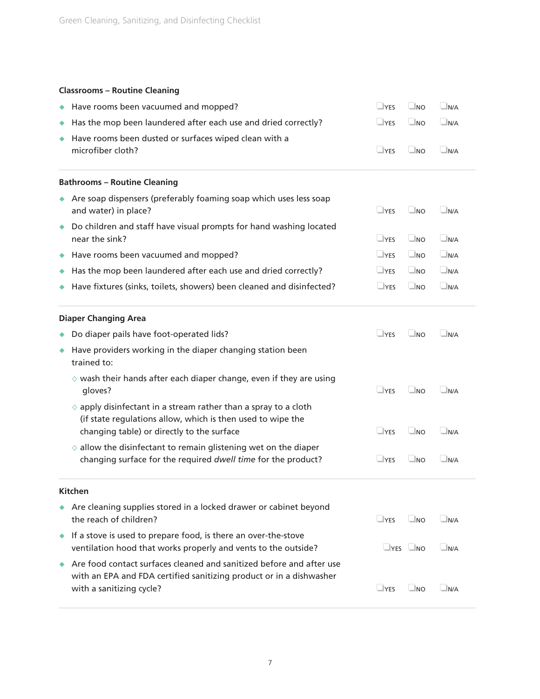# **Classrooms – Routine Cleaning**

|   | Have rooms been vacuumed and mopped?                                                                                                                                                  | $\Box$ YES           | $\Box$ NO | $\Box$ N/A  |
|---|---------------------------------------------------------------------------------------------------------------------------------------------------------------------------------------|----------------------|-----------|-------------|
| ٠ | Has the mop been laundered after each use and dried correctly?                                                                                                                        | $\Box$ YES           | $\Box$ NO | $\Box$ N/A  |
|   | Have rooms been dusted or surfaces wiped clean with a<br>microfiber cloth?                                                                                                            | $\Box$ YES           | $\Box$ NO | $\Box$ N/A  |
|   | <b>Bathrooms - Routine Cleaning</b>                                                                                                                                                   |                      |           |             |
|   | Are soap dispensers (preferably foaming soap which uses less soap<br>and water) in place?                                                                                             | $\Box$ YES           | $\Box$ NO | $\Box$ N/A  |
| ۰ | Do children and staff have visual prompts for hand washing located<br>near the sink?                                                                                                  | $\Box$ YES           | $\Box$ NO | $\Box$ N/A  |
| ٠ | Have rooms been vacuumed and mopped?                                                                                                                                                  | $\Box$ YES           | $\Box$ NO | $\Box$ N/A  |
| ٠ | Has the mop been laundered after each use and dried correctly?                                                                                                                        | $\Box$ YES           | $\Box$ NO | $\Box$ N/A  |
|   | Have fixtures (sinks, toilets, showers) been cleaned and disinfected?                                                                                                                 | $\Box$ YES           | $\Box$ NO | $\Box$ N/A  |
|   | <b>Diaper Changing Area</b>                                                                                                                                                           |                      |           |             |
| ٠ | Do diaper pails have foot-operated lids?                                                                                                                                              | $\Box$ YES           | $\Box$ NO | $\Box$ N/A  |
| ٠ | Have providers working in the diaper changing station been<br>trained to:                                                                                                             |                      |           |             |
|   | $\diamond$ wash their hands after each diaper change, even if they are using<br>gloves?                                                                                               | $\sqcup$ YES         | $\Box$ NO | $\Box$ N/A  |
|   | $\diamond$ apply disinfectant in a stream rather than a spray to a cloth<br>(if state regulations allow, which is then used to wipe the<br>changing table) or directly to the surface | $\Box$ YES           | $\Box$ NO | $\n  N/A\n$ |
|   | $\diamond$ allow the disinfectant to remain glistening wet on the diaper<br>changing surface for the required dwell time for the product?                                             | $\Box$ YES           | $\Box$ NO | $\Box$ N/A  |
|   | <b>Kitchen</b>                                                                                                                                                                        |                      |           |             |
|   | Are cleaning supplies stored in a locked drawer or cabinet beyond<br>the reach of children?                                                                                           | $\Box$ YES           | $\Box$ NO | $\n  N/A\n$ |
| ۰ | If a stove is used to prepare food, is there an over-the-stove<br>ventilation hood that works properly and vents to the outside?                                                      | $\Box$ YES $\Box$ NO |           | N/A         |
| ۰ | Are food contact surfaces cleaned and sanitized before and after use<br>with an EPA and FDA certified sanitizing product or in a dishwasher<br>with a sanitizing cycle?               | $\Box$ YES           | $\Box$ NO | $\Box$ N/A  |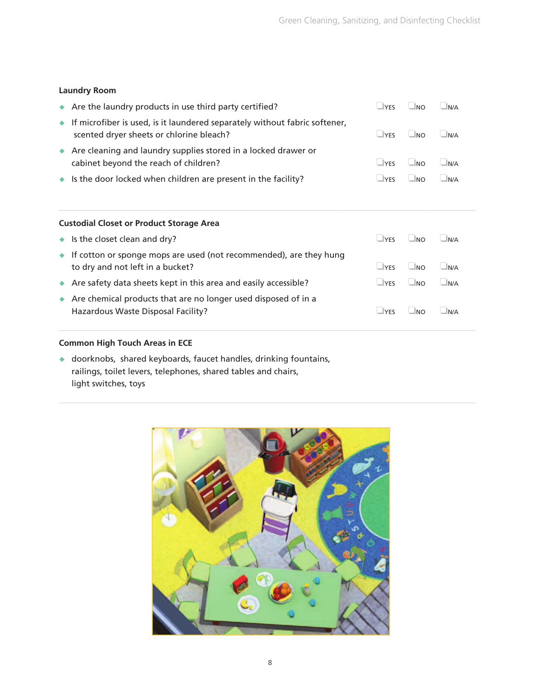## **Laundry Room**

| • If microfiber is used, is it laundered separately without fabric softener,                            |                                                 |           |     |  |
|---------------------------------------------------------------------------------------------------------|-------------------------------------------------|-----------|-----|--|
| scented dryer sheets or chlorine bleach?                                                                | $\Box$ YES                                      | $\Box$ NO | N/A |  |
| Are cleaning and laundry supplies stored in a locked drawer or<br>cabinet beyond the reach of children? | $\Box$ YES                                      | $\Box$ NO | N/A |  |
| $\bullet$ Is the door locked when children are present in the facility?                                 | $\Box$ YES                                      | $\Box$ NO | N/A |  |
|                                                                                                         |                                                 |           |     |  |
| <b>Custodial Closet or Product Storage Area</b>                                                         |                                                 |           |     |  |
|                                                                                                         | the contract of the contract of the contract of |           |     |  |

| $\bullet$ Is the closet clean and dry?                                                                           | <b>LYFS</b>  | INO.      | N/A                |
|------------------------------------------------------------------------------------------------------------------|--------------|-----------|--------------------|
| $\bullet$ If cotton or sponge mops are used (not recommended), are they hung<br>to dry and not left in a bucket? | $\Box$ YFS   | $\Box$ NO | $\blacksquare$ N/A |
| Are safety data sheets kept in this area and easily accessible?                                                  | $\sqcup$ YES | $\Box$ NO | $\blacksquare$ N/A |
| Are chemical products that are no longer used disposed of in a<br>Hazardous Waste Disposal Facility?             | <b>LYFS</b>  | INO.      | N/A                |

## **Common High Touch Areas in ECE**

 $\bullet$  doorknobs, shared keyboards, faucet handles, drinking fountains, railings, toilet levers, telephones, shared tables and chairs, light switches, toys

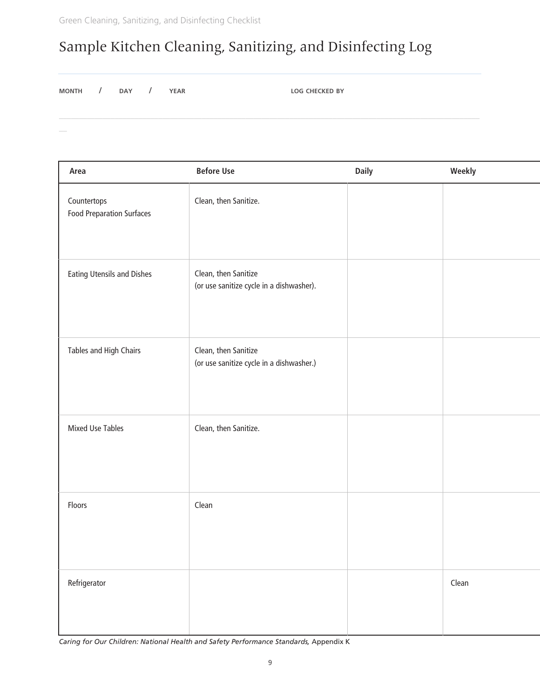# Sample Kitchen Cleaning, Sanitizing, and Disinfecting Log

**MONTH / DAY / YEAR LOG CHECKED BY**

| Area                                            | <b>Before Use</b>                                                | <b>Daily</b> | Weekly |
|-------------------------------------------------|------------------------------------------------------------------|--------------|--------|
| Countertops<br><b>Food Preparation Surfaces</b> | Clean, then Sanitize.                                            |              |        |
| <b>Eating Utensils and Dishes</b>               | Clean, then Sanitize<br>(or use sanitize cycle in a dishwasher). |              |        |
| Tables and High Chairs                          | Clean, then Sanitize<br>(or use sanitize cycle in a dishwasher.) |              |        |
| <b>Mixed Use Tables</b>                         | Clean, then Sanitize.                                            |              |        |
| Floors                                          | Clean                                                            |              |        |
| Refrigerator                                    |                                                                  |              | Clean  |

*Caring for Our Children: National Health and Safety Performance Standards,* Appendix K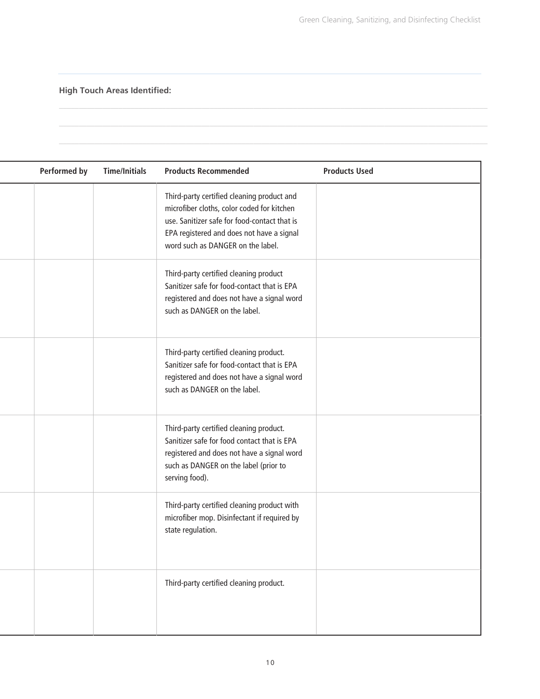**High Touch Areas Identified:**

 $\overline{a}$ 

| <b>Performed by</b> | <b>Time/Initials</b> | <b>Products Recommended</b>                                                                                                                                                                                                | <b>Products Used</b> |
|---------------------|----------------------|----------------------------------------------------------------------------------------------------------------------------------------------------------------------------------------------------------------------------|----------------------|
|                     |                      | Third-party certified cleaning product and<br>microfiber cloths, color coded for kitchen<br>use. Sanitizer safe for food-contact that is<br>EPA registered and does not have a signal<br>word such as DANGER on the label. |                      |
|                     |                      | Third-party certified cleaning product<br>Sanitizer safe for food-contact that is EPA<br>registered and does not have a signal word<br>such as DANGER on the label.                                                        |                      |
|                     |                      | Third-party certified cleaning product.<br>Sanitizer safe for food-contact that is EPA<br>registered and does not have a signal word<br>such as DANGER on the label.                                                       |                      |
|                     |                      | Third-party certified cleaning product.<br>Sanitizer safe for food contact that is EPA<br>registered and does not have a signal word<br>such as DANGER on the label (prior to<br>serving food).                            |                      |
|                     |                      | Third-party certified cleaning product with<br>microfiber mop. Disinfectant if required by<br>state regulation.                                                                                                            |                      |
|                     |                      | Third-party certified cleaning product.                                                                                                                                                                                    |                      |